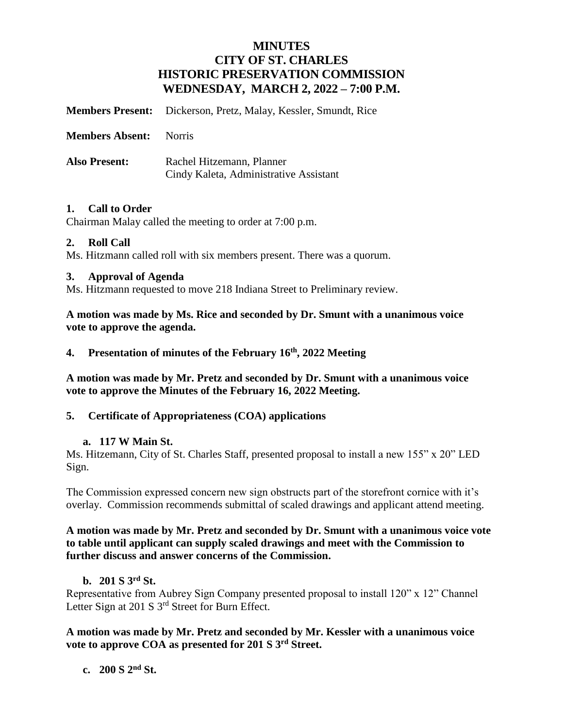# **MINUTES CITY OF ST. CHARLES HISTORIC PRESERVATION COMMISSION WEDNESDAY, MARCH 2, 2022 – 7:00 P.M.**

**Members Present:** Dickerson, Pretz, Malay, Kessler, Smundt, Rice

**Members Absent:** Norris

**Also Present:** Rachel Hitzemann, Planner Cindy Kaleta, Administrative Assistant

### **1. Call to Order**

Chairman Malay called the meeting to order at 7:00 p.m.

### **2. Roll Call**

Ms. Hitzmann called roll with six members present. There was a quorum.

### **3. Approval of Agenda**

Ms. Hitzmann requested to move 218 Indiana Street to Preliminary review.

**A motion was made by Ms. Rice and seconded by Dr. Smunt with a unanimous voice vote to approve the agenda.**

### **4. Presentation of minutes of the February 16th, 2022 Meeting**

**A motion was made by Mr. Pretz and seconded by Dr. Smunt with a unanimous voice vote to approve the Minutes of the February 16, 2022 Meeting.** 

## **5. Certificate of Appropriateness (COA) applications**

#### **a. 117 W Main St.**

Ms. Hitzemann, City of St. Charles Staff, presented proposal to install a new 155" x 20" LED Sign.

The Commission expressed concern new sign obstructs part of the storefront cornice with it's overlay. Commission recommends submittal of scaled drawings and applicant attend meeting.

### **A motion was made by Mr. Pretz and seconded by Dr. Smunt with a unanimous voice vote to table until applicant can supply scaled drawings and meet with the Commission to further discuss and answer concerns of the Commission.**

## **b. 201 S 3rd St.**

Representative from Aubrey Sign Company presented proposal to install 120" x 12" Channel Letter Sign at 201 S 3<sup>rd</sup> Street for Burn Effect.

**A motion was made by Mr. Pretz and seconded by Mr. Kessler with a unanimous voice vote to approve COA as presented for 201 S 3rd Street.** 

## **c. 200 S 2nd St.**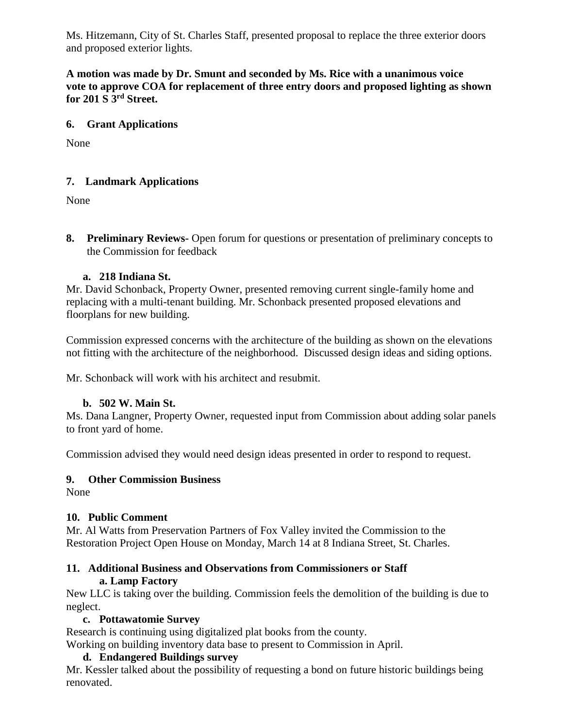Ms. Hitzemann, City of St. Charles Staff, presented proposal to replace the three exterior doors and proposed exterior lights.

**A motion was made by Dr. Smunt and seconded by Ms. Rice with a unanimous voice vote to approve COA for replacement of three entry doors and proposed lighting as shown for 201 S 3rd Street.** 

## **6. Grant Applications**

None

## **7. Landmark Applications**

None

**8. Preliminary Reviews-** Open forum for questions or presentation of preliminary concepts to the Commission for feedback

## **a. 218 Indiana St.**

Mr. David Schonback, Property Owner, presented removing current single-family home and replacing with a multi-tenant building. Mr. Schonback presented proposed elevations and floorplans for new building.

Commission expressed concerns with the architecture of the building as shown on the elevations not fitting with the architecture of the neighborhood. Discussed design ideas and siding options.

Mr. Schonback will work with his architect and resubmit.

## **b. 502 W. Main St.**

Ms. Dana Langner, Property Owner, requested input from Commission about adding solar panels to front yard of home.

Commission advised they would need design ideas presented in order to respond to request.

## **9. Other Commission Business**

None

## **10. Public Comment**

Mr. Al Watts from Preservation Partners of Fox Valley invited the Commission to the Restoration Project Open House on Monday, March 14 at 8 Indiana Street, St. Charles.

### **11. Additional Business and Observations from Commissioners or Staff a. Lamp Factory**

New LLC is taking over the building. Commission feels the demolition of the building is due to neglect.

## **c. Pottawatomie Survey**

Research is continuing using digitalized plat books from the county.

Working on building inventory data base to present to Commission in April.

## **d. Endangered Buildings survey**

Mr. Kessler talked about the possibility of requesting a bond on future historic buildings being renovated.